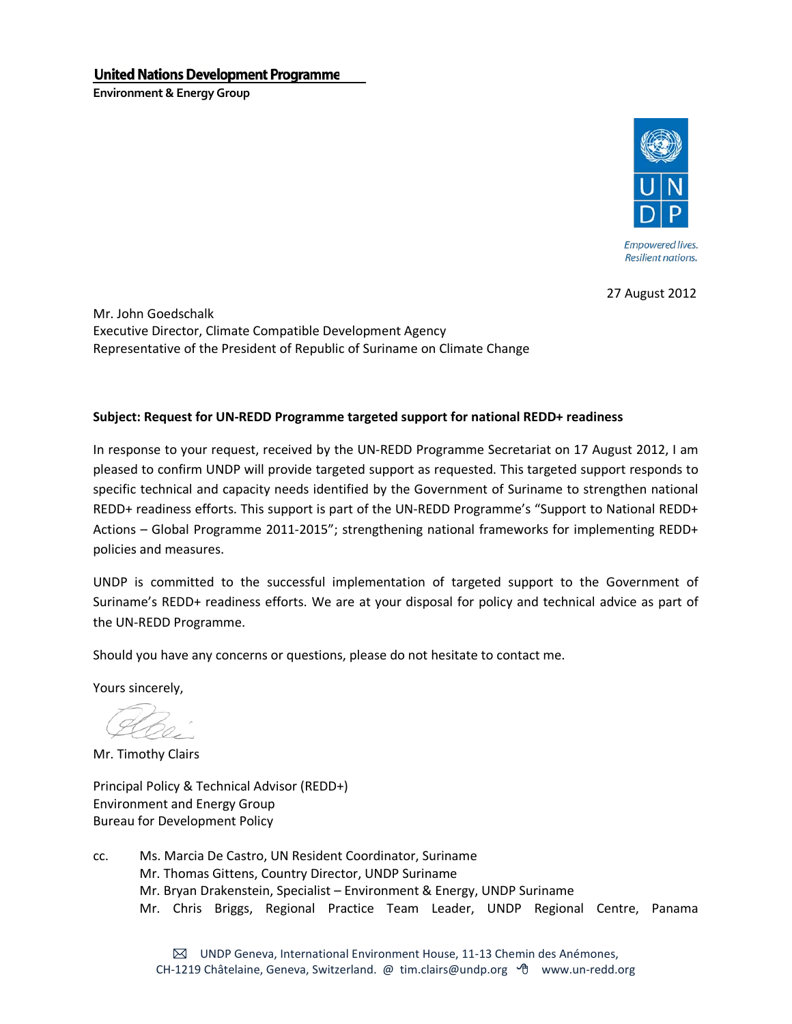## **United Nations Development Programme**

**Environment & Energy Group** 



27 August 2012

Mr. John Goedschalk Executive Director, Climate Compatible Development Agency Representative of the President of Republic of Suriname on Climate Change

## **Subject: Request for UN-REDD Programme targeted support for national REDD+ readiness**

In response to your request, received by the UN-REDD Programme Secretariat on 17 August 2012, I am pleased to confirm UNDP will provide targeted support as requested. This targeted support responds to specific technical and capacity needs identified by the Government of Suriname to strengthen national REDD+ readiness efforts. This support is part of the UN-REDD Programme's "Support to National REDD+ Actions – Global Programme 2011-2015"; strengthening national frameworks for implementing REDD+ policies and measures.

UNDP is committed to the successful implementation of targeted support to the Government of Suriname's REDD+ readiness efforts. We are at your disposal for policy and technical advice as part of the UN-REDD Programme.

Should you have any concerns or questions, please do not hesitate to contact me.

Yours sincerely,

Mr. Timothy Clairs

Principal Policy & Technical Advisor (REDD+) Environment and Energy Group Bureau for Development Policy

cc. Ms. Marcia De Castro, UN Resident Coordinator, Suriname Mr. Thomas Gittens, Country Director, UNDP Suriname Mr. Bryan Drakenstein, Specialist – Environment & Energy, UNDP Suriname Mr. Chris Briggs, Regional Practice Team Leader, UNDP Regional Centre, Panama